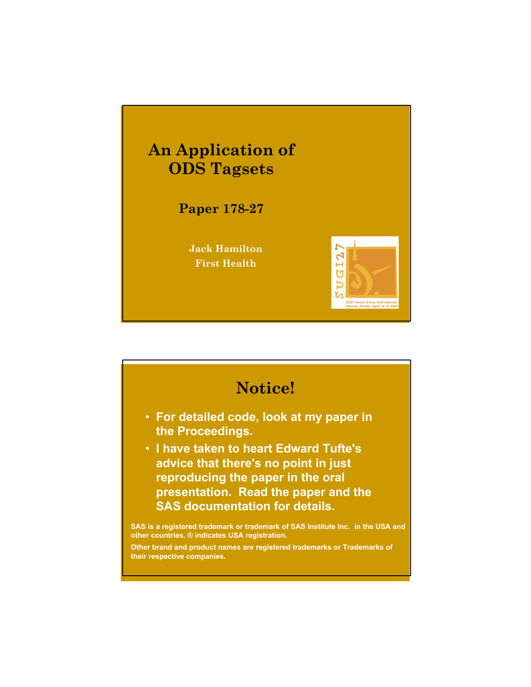

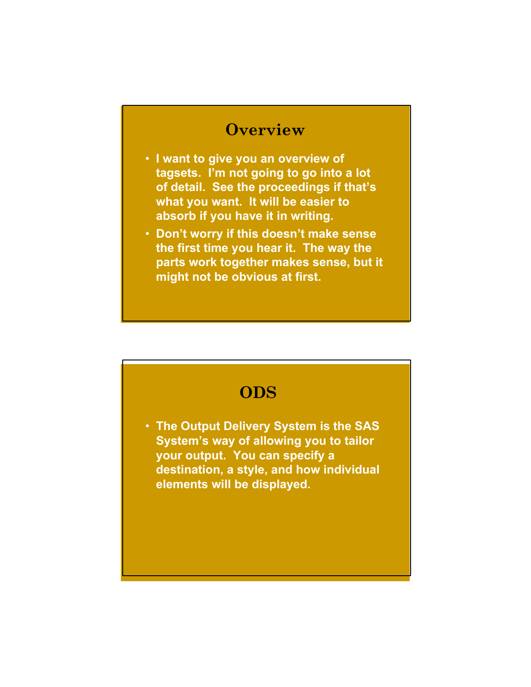#### **Overview**

- **I want to give you an overview of tagsets. I'm not going to go into a lot of detail. See the proceedings if that's what you want. It will be easier to absorb if you have it in writing.**
- **Don't worry if this doesn't make sense the first time you hear it. The way the parts work together makes sense, but it might not be obvious at first.**

## **ODS**

• **The Output Delivery System is the SAS System's way of allowing you to tailor your output. You can specify a destination, a style, and how individual elements will be displayed.**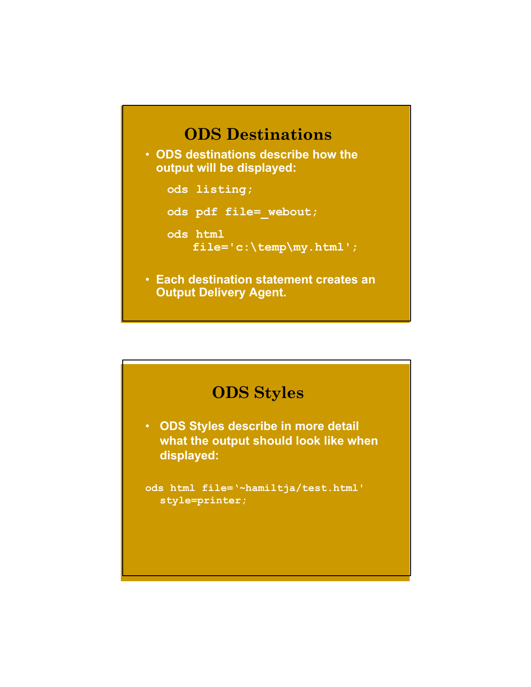# **ODS Destinations**

• **ODS destinations describe how the output will be displayed:**

**ods listing;**

**ods pdf file=\_webout;**

**ods html**

**file='c:\temp\my.html';**

• **Each destination statement creates an Output Delivery Agent.**

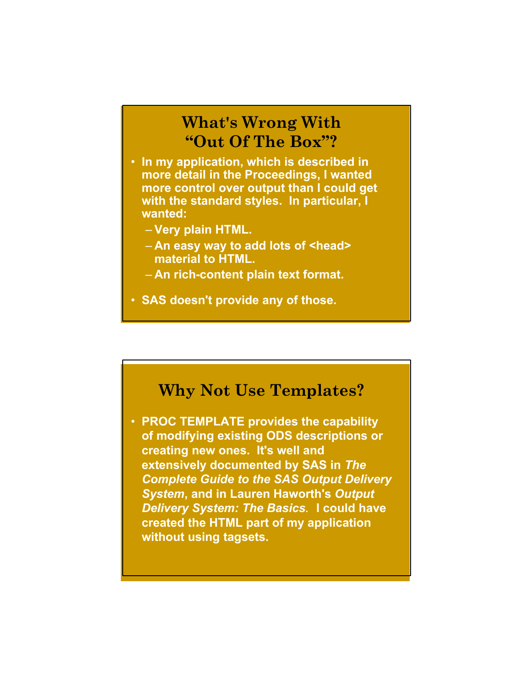## **What's Wrong With "Out Of The Box"?**

- **In my application, which is described in more detail in the Proceedings, I wanted more control over output than I could get with the standard styles. In particular, I wanted:**
	- **Very plain HTML.**
	- **An easy way to add lots of <head> material to HTML.**
	- **An rich-content plain text format.**
- **SAS doesn't provide any of those.**

#### **Why Not Use Templates?**

• **PROC TEMPLATE provides the capability of modifying existing ODS descriptions or creating new ones. It's well and extensively documented by SAS in** *The Complete Guide to the SAS Output Delivery System***, and in Lauren Haworth's** *Output Delivery System: The Basics***. I could have created the HTML part of my application without using tagsets.**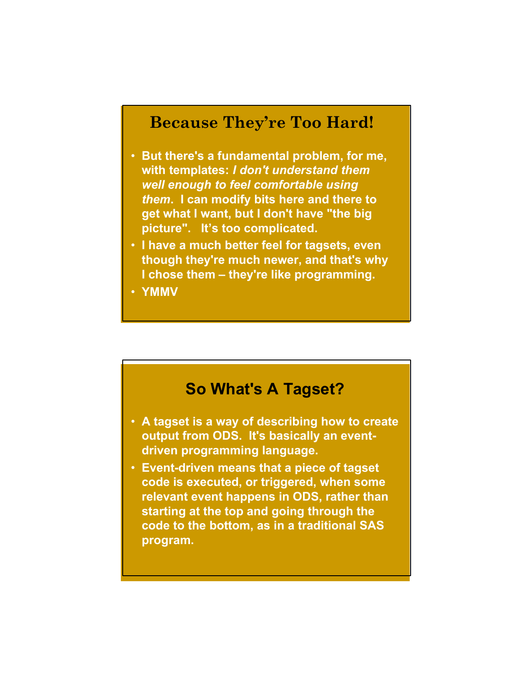#### **Because They're Too Hard!**

- **But there's a fundamental problem, for me, with templates:** *I don't understand them well enough to feel comfortable using them***. I can modify bits here and there to get what I want, but I don't have "the big picture". It's too complicated.**
- **I have a much better feel for tagsets, even though they're much newer, and that's why I chose them – they're like programming.**
- **YMMV**

# **So What's A Tagset?**

- **A tagset is a way of describing how to create output from ODS. It's basically an eventdriven programming language.**
- **Event-driven means that a piece of tagset code is executed, or triggered, when some relevant event happens in ODS, rather than starting at the top and going through the code to the bottom, as in a traditional SAS program.**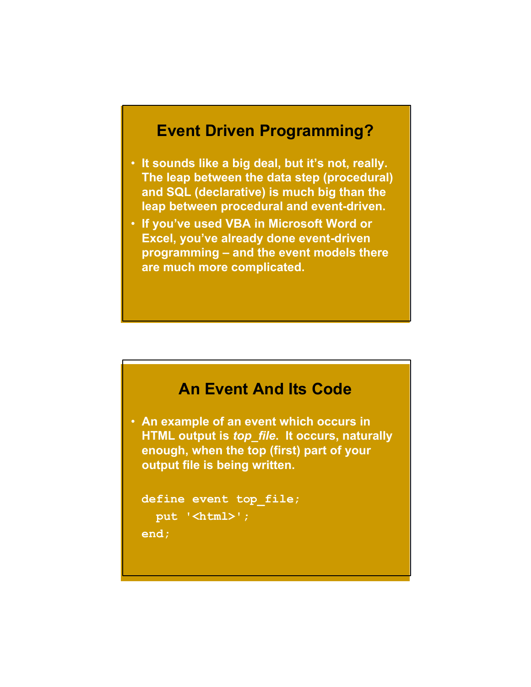# **Event Driven Programming?**

- **It sounds like a big deal, but it's not, really. The leap between the data step (procedural) and SQL (declarative) is much big than the leap between procedural and event-driven.**
- **If you've used VBA in Microsoft Word or Excel, you've already done event-driven programming – and the event models there are much more complicated.**

# **An Event And Its Code** • **An example of an event which occurs in HTML output is** *top\_file***. It occurs, naturally enough, when the top (first) part of your output file is being written. define event top\_file;**

```
put '<html>';
```
**end;**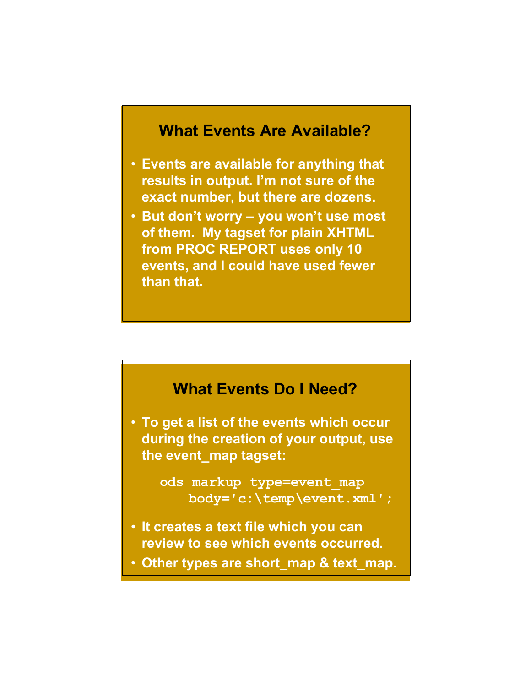#### **What Events Are Available?**

- **Events are available for anything that results in output. I'm not sure of the exact number, but there are dozens.**
- **But don't worry – you won't use most of them. My tagset for plain XHTML from PROC REPORT uses only 10 events, and I could have used fewer than that.**

#### **What Events Do I Need?**

• **To get a list of the events which occur during the creation of your output, use the event\_map tagset:**

> **ods markup type=event\_map body='c:\temp\event.xml';**

- **It creates a text file which you can review to see which events occurred.**
- **Other types are short\_map & text\_map.**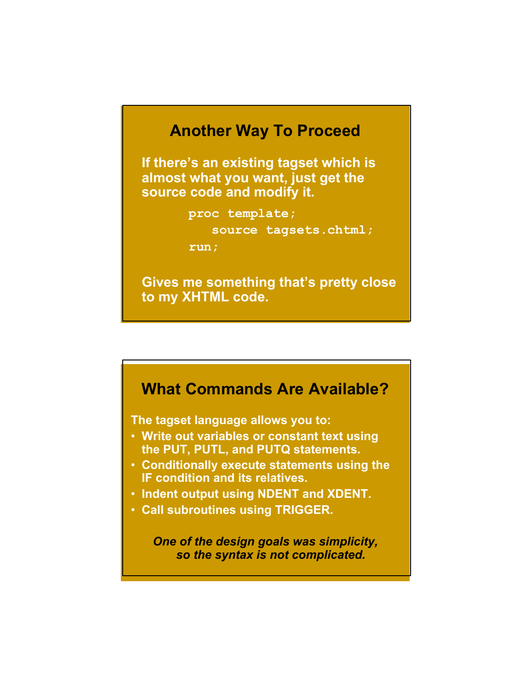#### **Another Way To Proceed**

**If there's an existing tagset which is almost what you want, just get the source code and modify it.**

**proc template;**

**source tagsets.chtml;**

**run;**

**Gives me something that's pretty close to my XHTML code.**

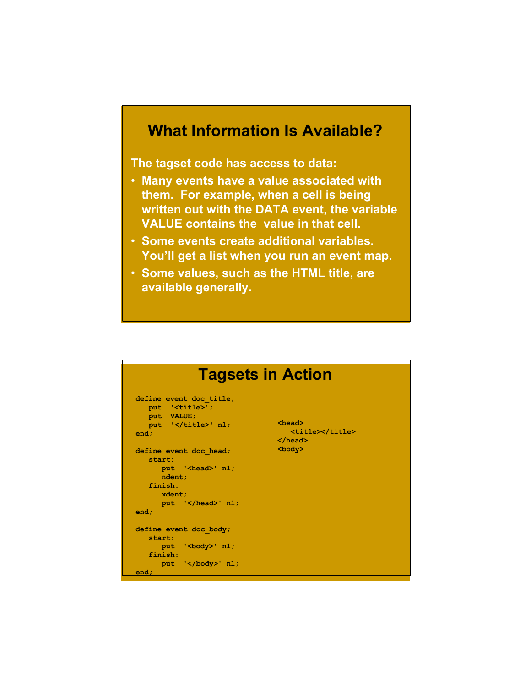# **What Information Is Available?**

**The tagset code has access to data:**

- **Many events have a value associated with them. For example, when a cell is being written out with the DATA event, the variable VALUE contains the value in that cell.**
- **Some events create additional variables. You'll get a list when you run an event map.**
- **Some values, such as the HTML title, are available generally.**

| <b>Tagsets in Action</b>                                                                                                                                                                                                                    |                                                               |
|---------------------------------------------------------------------------------------------------------------------------------------------------------------------------------------------------------------------------------------------|---------------------------------------------------------------|
| define event doc title;<br>put ' <title>';<br/>put VALUE;<br/>put '</title> ' nl;<br>end:<br>define event doc head;<br>start:<br>put ' <head>' nl;<br/>ndent;<br/>finish:<br/>xdent:<br/>put <math>\frac{1}{2}</math> /head&gt;' nl;</head> | $head$<br><title></title><br>$\langle$ /head><br>$<$ body $>$ |
| end;                                                                                                                                                                                                                                        |                                                               |
| define event doc body;<br>start:<br>put '<br>body>' nl;<br>finish:<br>put $\sqrt{\text{body}}$ nl;<br>                                                                                                                                      |                                                               |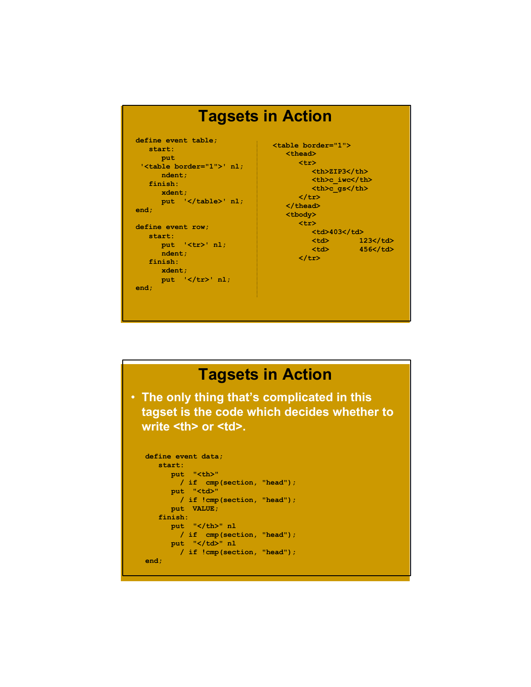

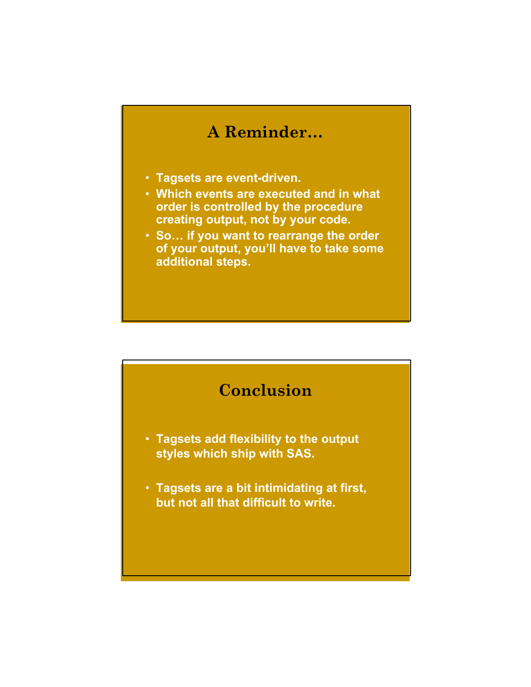# **A Reminder…**

- **Tagsets are event-driven.**
- **Which events are executed and in what order is controlled by the procedure creating output, not by your code.**
- **So… if you want to rearrange the order of your output, you'll have to take some additional steps.**

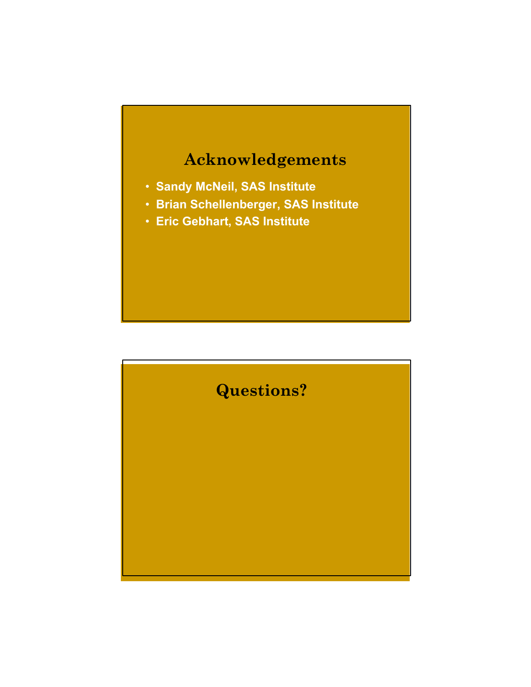

- **Sandy McNeil, SAS Institute**
- **Brian Schellenberger, SAS Institute**
- **Eric Gebhart, SAS Institute**